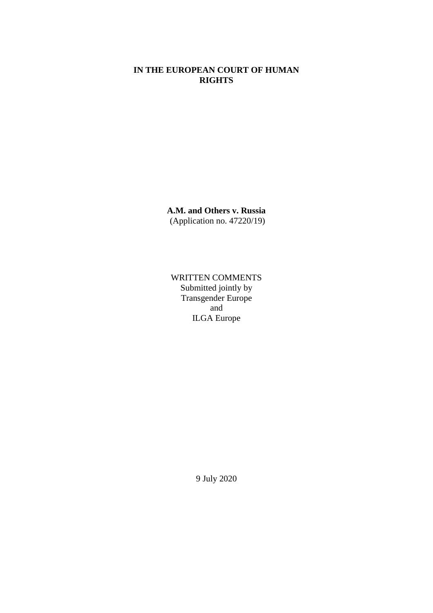# **IN THE EUROPEAN COURT OF HUMAN RIGHTS**

**A.M. and Others v. Russia** (Application no. 47220/19)

WRITTEN COMMENTS Submitted jointly by Transgender Europe and ILGA Europe

9 July 2020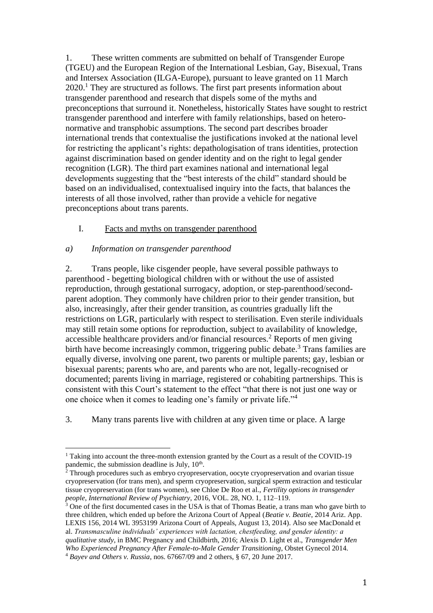1. These written comments are submitted on behalf of Transgender Europe (TGEU) and the European Region of the International Lesbian, Gay, Bisexual, Trans and Intersex Association (ILGA-Europe), pursuant to leave granted on 11 March 2020.<sup>1</sup> They are structured as follows. The first part presents information about transgender parenthood and research that dispels some of the myths and preconceptions that surround it. Nonetheless, historically States have sought to restrict transgender parenthood and interfere with family relationships, based on heteronormative and transphobic assumptions. The second part describes broader international trends that contextualise the justifications invoked at the national level for restricting the applicant's rights: depathologisation of trans identities, protection against discrimination based on gender identity and on the right to legal gender recognition (LGR). The third part examines national and international legal developments suggesting that the "best interests of the child" standard should be based on an individualised, contextualised inquiry into the facts, that balances the interests of all those involved, rather than provide a vehicle for negative preconceptions about trans parents.

### I. Facts and myths on transgender parenthood

### *a) Information on transgender parenthood*

2. Trans people, like cisgender people, have several possible pathways to parenthood - begetting biological children with or without the use of assisted reproduction, through gestational surrogacy, adoption, or step-parenthood/secondparent adoption. They commonly have children prior to their gender transition, but also, increasingly, after their gender transition, as countries gradually lift the restrictions on LGR, particularly with respect to sterilisation. Even sterile individuals may still retain some options for reproduction, subject to availability of knowledge, accessible healthcare providers and/or financial resources.<sup>2</sup> Reports of men giving birth have become increasingly common, triggering public debate.<sup>3</sup> Trans families are equally diverse, involving one parent, two parents or multiple parents; gay, lesbian or bisexual parents; parents who are, and parents who are not, legally-recognised or documented; parents living in marriage, registered or cohabiting partnerships. This is consistent with this Court's statement to the effect "that there is not just one way or one choice when it comes to leading one's family or private life."<sup>4</sup>

3. Many trans parents live with children at any given time or place. A large

<sup>&</sup>lt;sup>1</sup> Taking into account the three-month extension granted by the Court as a result of the COVID-19 pandemic, the submission deadline is July, 10<sup>th</sup>.

<sup>&</sup>lt;sup>2</sup> Through procedures such as embryo cryopreservation, oocyte cryopreservation and ovarian tissue cryopreservation (for trans men), and sperm cryopreservation, surgical sperm extraction and testicular tissue cryopreservation (for trans women), see Chloe De Roo et al., *Fertility options in transgender people*, *International Review of Psychiatry*, 2016, VOL. 28, NO. 1, 112–119.

<sup>&</sup>lt;sup>3</sup> One of the first documented cases in the USA is that of Thomas Beatie, a trans man who gave birth to three children, which ended up before the Arizona Court of Appeal (*Beatie v. Beatie*, 2014 Ariz. App. LEXIS 156, 2014 WL 3953199 Arizona Court of Appeals, August 13, 2014). Also see MacDonald et al. *Transmasculine individuals' experiences with lactation, chestfeeding, and gender identity: a qualitative study*, in BMC Pregnancy and Childbirth, 2016; Alexis D. Light et al., *Transgender Men Who Experienced Pregnancy After Female-to-Male Gender Transitioning*, Obstet Gynecol 2014. <sup>4</sup> *Bayev and Others v. Russia*, nos. 67667/09 and 2 others, § 67, 20 June 2017.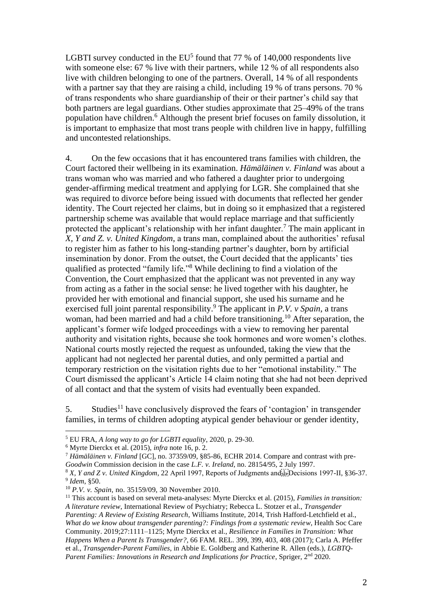LGBTI survey conducted in the  $EU^5$  found that 77 % of 140,000 respondents live with someone else: 67 % live with their partners, while 12 % of all respondents also live with children belonging to one of the partners. Overall, 14 % of all respondents with a partner say that they are raising a child, including 19 % of trans persons. 70 % of trans respondents who share guardianship of their or their partner's child say that both partners are legal guardians. Other studies approximate that 25–49% of the trans population have children.<sup>6</sup> Although the present brief focuses on family dissolution, it is important to emphasize that most trans people with children live in happy, fulfilling and uncontested relationships.

4. On the few occasions that it has encountered trans families with children, the Court factored their wellbeing in its examination. *Hämäläinen v. Finland* was about a trans woman who was married and who fathered a daughter prior to undergoing gender-affirming medical treatment and applying for LGR. She complained that she was required to divorce before being issued with documents that reflected her gender identity. The Court rejected her claims, but in doing so it emphasized that a registered partnership scheme was available that would replace marriage and that sufficiently protected the applicant's relationship with her infant daughter.<sup>7</sup> The main applicant in *X, Y and Z. v. United Kingdom*, a trans man, complained about the authorities' refusal to register him as father to his long-standing partner's daughter, born by artificial insemination by donor. From the outset, the Court decided that the applicants' ties qualified as protected "family life." <sup>8</sup> While declining to find a violation of the Convention, the Court emphasized that the applicant was not prevented in any way from acting as a father in the social sense: he lived together with his daughter, he provided her with emotional and financial support, she used his surname and he exercised full joint parental responsibility.<sup>9</sup> The applicant in *P.V. v Spain*, a trans woman, had been married and had a child before transitioning.<sup>10</sup> After separation, the applicant's former wife lodged proceedings with a view to removing her parental authority and visitation rights, because she took hormones and wore women's clothes. National courts mostly rejected the request as unfounded, taking the view that the applicant had not neglected her parental duties, and only permitted a partial and temporary restriction on the visitation rights due to her "emotional instability." The Court dismissed the applicant's Article 14 claim noting that she had not been deprived of all contact and that the system of visits had eventually been expanded.

5. Studies<sup>11</sup> have conclusively disproved the fears of 'contagion' in transgender families, in terms of children adopting atypical gender behaviour or gender identity,

<sup>5</sup> EU FRA, *A long way to go for LGBTI equality*, 2020, p. 29-30.

<sup>6</sup> Myrte Dierckx et al. (2015), *infra* note 16, p. 2.

<sup>7</sup> *Hämäläinen v. Finland* [GC], no. 37359/09, §85-86, ECHR 2014. Compare and contrast with pre-*Goodwin* Commission decision in the case *L.F. v. Ireland*, no. 28154/95, 2 July 1997.

<sup>&</sup>lt;sup>8</sup> X, Y and Z v. United Kingdom, 22 April 1997, Reports of Judgments and Freed Equilibrary 1997-II, §36-37. 9 *Idem*, §50.

<sup>10</sup> *P.V. v. Spain*, no. 35159/09, 30 November 2010.

<sup>11</sup> This account is based on several meta-analyses: Myrte Dierckx et al. (2015), *Families in transition: A literature review*, International Review of Psychiatry; Rebecca L. Stotzer et al., *Transgender Parenting: A Review of Existing Research*, Williams Institute, 2014, Trish Hafford-Letchfield et al., *What do we know about transgender parenting?: Findings from a systematic review*, Health Soc Care Community. 2019;27:1111–1125; Myrte Dierckx et al., *Resilience in Families in Transition: What Happens When a Parent Is Transgender?*, 66 FAM. REL. 399, 399, 403, 408 (2017); Carla A. Pfeffer et al., *Transgender-Parent Families*, in Abbie E. Goldberg and Katherine R. Allen (eds.), *LGBTQ-Parent Families: Innovations in Research and Implications for Practice*, Spriger, 2<sup>nd</sup> 2020.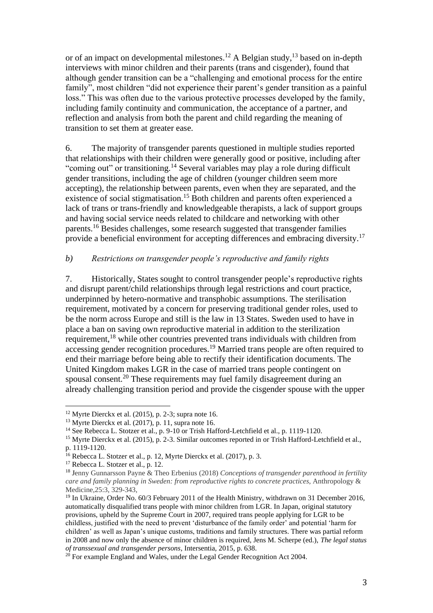or of an impact on developmental milestones.<sup>12</sup> A Belgian study,<sup>13</sup> based on in-depth interviews with minor children and their parents (trans and cisgender), found that although gender transition can be a "challenging and emotional process for the entire family", most children "did not experience their parent's gender transition as a painful loss." This was often due to the various protective processes developed by the family, including family continuity and communication, the acceptance of a partner, and reflection and analysis from both the parent and child regarding the meaning of transition to set them at greater ease.

6. The majority of transgender parents questioned in multiple studies reported that relationships with their children were generally good or positive, including after "coming out" or transitioning.<sup>14</sup> Several variables may play a role during difficult gender transitions, including the age of children (younger children seem more accepting), the relationship between parents, even when they are separated, and the existence of social stigmatisation.<sup>15</sup> Both children and parents often experienced a lack of trans or trans-friendly and knowledgeable therapists, a lack of support groups and having social service needs related to childcare and networking with other parents.<sup>16</sup> Besides challenges, some research suggested that transgender families provide a beneficial environment for accepting differences and embracing diversity.<sup>17</sup>

### *b) Restrictions on transgender people's reproductive and family rights*

7. Historically, States sought to control transgender people's reproductive rights and disrupt parent/child relationships through legal restrictions and court practice, underpinned by hetero-normative and transphobic assumptions. The sterilisation requirement, motivated by a concern for preserving traditional gender roles, used to be the norm across Europe and still is the law in 13 States. Sweden used to have in place a ban on saving own reproductive material in addition to the sterilization requirement,<sup>18</sup> while other countries prevented trans individuals with children from accessing gender recognition procedures.<sup>19</sup> Married trans people are often required to end their marriage before being able to rectify their identification documents. The United Kingdom makes LGR in the case of married trans people contingent on spousal consent.<sup>20</sup> These requirements may fuel family disagreement during an already challenging transition period and provide the cisgender spouse with the upper

 $12$  Myrte Dierckx et al. (2015), p. 2-3; supra note 16.

<sup>13</sup> Myrte Dierckx et al. (2017), p. 11, supra note 16.

<sup>&</sup>lt;sup>14</sup> See Rebecca L. Stotzer et al., p. 9-10 or Trish Hafford-Letchfield et al., p. 1119-1120.

<sup>15</sup> Myrte Dierckx et al. (2015), p. 2-3. Similar outcomes reported in or Trish Hafford-Letchfield et al., p. 1119-1120.

<sup>16</sup> Rebecca L. Stotzer et al., p. 12, Myrte Dierckx et al. (2017), p. 3.

<sup>&</sup>lt;sup>17</sup> Rebecca L. Stotzer et al., p. 12.

<sup>18</sup> Jenny Gunnarsson Payne & Theo Erbenius (2018) *Conceptions of transgender parenthood in fertility care and family planning in Sweden: from reproductive rights to concrete practices*, Anthropology & Medicine,25:3, 329-343,

<sup>&</sup>lt;sup>19</sup> In Ukraine, Order No. 60/3 February 2011 of the Health Ministry, withdrawn on 31 December 2016, automatically disqualified trans people with minor children from LGR. In Japan, original statutory provisions, upheld by the Supreme Court in 2007, required trans people applying for LGR to be childless, justified with the need to prevent 'disturbance of the family order' and potential 'harm for children' as well as Japan's unique customs, traditions and family structures. There was partial reform in 2008 and now only the absence of minor children is required, Jens M. Scherpe (ed.), *The legal status of transsexual and transgender persons*, Intersentia, 2015, p. 638.

<sup>&</sup>lt;sup>20</sup> For example England and Wales, under the Legal Gender Recognition Act 2004.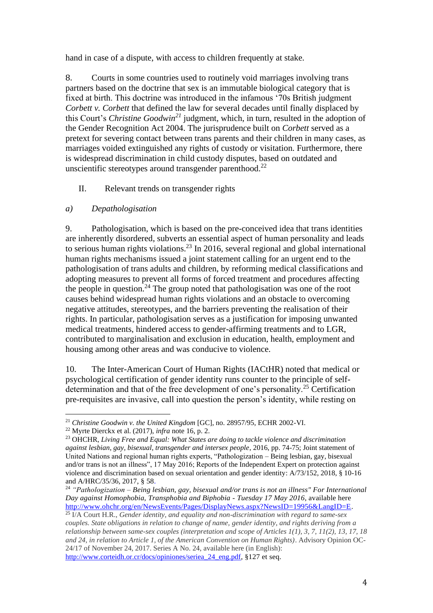hand in case of a dispute, with access to children frequently at stake.

8. Courts in some countries used to routinely void marriages involving trans partners based on the doctrine that sex is an immutable biological category that is fixed at birth. This doctrine was introduced in the infamous '70s British judgment *Corbett v. Corbett* that defined the law for several decades until finally displaced by this Court's *Christine Goodwin<sup>21</sup>* judgment, which, in turn, resulted in the adoption of the Gender Recognition Act 2004. The jurisprudence built on *Corbett* served as a pretext for severing contact between trans parents and their children in many cases, as marriages voided extinguished any rights of custody or visitation. Furthermore, there is widespread discrimination in child custody disputes, based on outdated and unscientific stereotypes around transgender parenthood.<sup>22</sup>

II. Relevant trends on transgender rights

# *a) Depathologisation*

9. Pathologisation, which is based on the pre-conceived idea that trans identities are inherently disordered, subverts an essential aspect of human personality and leads to serious human rights violations.<sup>23</sup> In 2016, several regional and global international human rights mechanisms issued a joint statement calling for an urgent end to the pathologisation of trans adults and children, by reforming medical classifications and adopting measures to prevent all forms of forced treatment and procedures affecting the people in question.<sup>24</sup> The group noted that pathologisation was one of the root causes behind widespread human rights violations and an obstacle to overcoming negative attitudes, stereotypes, and the barriers preventing the realisation of their rights. In particular, pathologisation serves as a justification for imposing unwanted medical treatments, hindered access to gender-affirming treatments and to LGR, contributed to marginalisation and exclusion in education, health, employment and housing among other areas and was conducive to violence.

10. The Inter-American Court of Human Rights (IACtHR) noted that medical or psychological certification of gender identity runs counter to the principle of selfdetermination and that of the free development of one's personality.<sup>25</sup> Certification pre-requisites are invasive, call into question the person's identity, while resting on

<sup>&</sup>lt;sup>21</sup> Christine Goodwin v. the United Kingdom [GC], no. 28957/95, ECHR 2002-VI.

<sup>22</sup> Myrte Dierckx et al. (2017), *infra* note 16, p. 2.

<sup>23</sup> OHCHR, *Living Free and Equal: What States are doing to tackle violence and discrimination against lesbian, gay, bisexual, transgender and intersex people*, 2016, pp. 74-75; Joint statement of United Nations and regional human rights experts, "Pathologization – Being lesbian, gay, bisexual and/or trans is not an illness", 17 May 2016; Reports of the Independent Expert on protection against violence and discrimination based on sexual orientation and gender identity: A/73/152, 2018, § 10-16 and A/HRC/35/36, 2017, § 58.

<sup>24</sup> *"Pathologization – Being lesbian, gay, bisexual and/or trans is not an illness" For International Day against Homophobia, Transphobia and Biphobia - Tuesday 17 May 2016*, available here [http://www.ohchr.org/en/NewsEvents/Pages/DisplayNews.aspx?NewsID=19956&LangID=E.](http://www.ohchr.org/en/NewsEvents/Pages/DisplayNews.aspx?NewsID=19956&LangID=E) 

<sup>25</sup> I/A Court H.R., *Gender identity, and equality and non-discrimination with regard to same-sex couples. State obligations in relation to change of name, gender identity, and rights deriving from a relationship between same-sex couples (interpretation and scope of Articles 1(1), 3, 7, 11(2), 13, 17, 18 and 24, in relation to Article 1, of the American Convention on Human Rights)*. Advisory Opinion OC-24/17 of November 24, 2017. Series A No. 24, available here (in English): [http://www.corteidh.or.cr/docs/opiniones/seriea\\_24\\_eng.pdf,](https://eur03.safelinks.protection.outlook.com/?url=http%3A%2F%2Ftrk.masterbase.com%2Fv3%2FMB%2F43BE8FF8FC213E8AFDF5C6C0803C9A652E6CDFC13A12FDC299B465D63295CE2BC4BDF93702DBA503B10265C4112150AF91C72A065D16A94A065AB5EA2D98717CD932CB1B3275938508301340962F215682D1A5D840BC6F48A435B0B34FEA258A2248AF4D632C000210DB25F225AEBB7B0F4A8E86C4B3288CF3C9B9B8A90057F5C9F14B4D01FDB7EC18181A495F8F8974&data=01%7C01%7Crobert.wintemute%40kcl.ac.uk%7C8b9581dae2204b0c12ee08d818675f8f%7C8370cf1416f34c16b83c724071654356%7C0&sdata=DxNrcJaqdRZ169FZP7HnTfelmXMkXj1KUpb7gPS7yfk%3D&reserved=0) §127 et seq.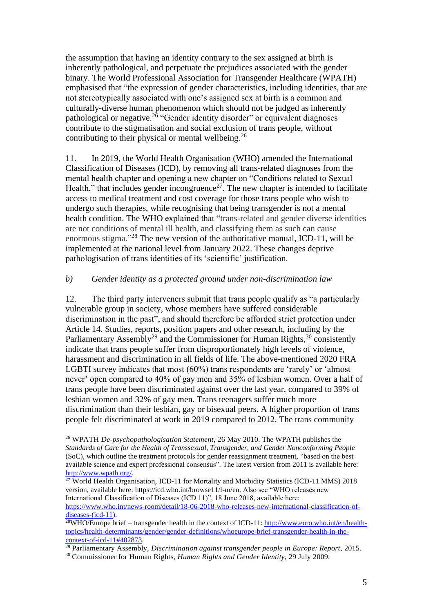the assumption that having an identity contrary to the sex assigned at birth is inherently pathological, and perpetuate the prejudices associated with the gender binary. The World Professional Association for Transgender Healthcare (WPATH) emphasised that "the expression of gender characteristics, including identities, that are not stereotypically associated with one's assigned sex at birth is a common and culturally-diverse human phenomenon which should not be judged as inherently pathological or negative.<sup>26</sup> "Gender identity disorder" or equivalent diagnoses contribute to the stigmatisation and social exclusion of trans people, without contributing to their physical or mental wellbeing.<sup>26</sup>

11. In 2019, the World Health Organisation (WHO) amended the International Classification of Diseases (ICD), by removing all trans-related diagnoses from the mental health chapter and opening a new chapter on "Conditions related to Sexual Health," that includes gender incongruence<sup>27</sup>. The new chapter is intended to facilitate access to medical treatment and cost coverage for those trans people who wish to undergo such therapies, while recognising that being transgender is not a mental health condition. The WHO explained that "trans-related and gender diverse identities are not conditions of mental ill health, and classifying them as such can cause enormous stigma."<sup>28</sup> The new version of the authoritative manual, ICD-11, will be implemented at the national level from January 2022. These changes deprive pathologisation of trans identities of its 'scientific' justification.

### *b) Gender identity as a protected ground under non-discrimination law*

12. The third party interveners submit that trans people qualify as "a particularly vulnerable group in society, whose members have suffered considerable discrimination in the past", and should therefore be afforded strict protection under Article 14. Studies, reports, position papers and other research, including by the Parliamentary Assembly<sup>29</sup> and the Commissioner for Human Rights,  $30$  consistently indicate that trans people suffer from disproportionately high levels of violence, harassment and discrimination in all fields of life. The above-mentioned 2020 FRA LGBTI survey indicates that most (60%) trans respondents are 'rarely' or 'almost never' open compared to 40% of gay men and 35% of lesbian women. Over a half of trans people have been discriminated against over the last year, compared to 39% of lesbian women and 32% of gay men. Trans teenagers suffer much more discrimination than their lesbian, gay or bisexual peers. A higher proportion of trans people felt discriminated at work in 2019 compared to 2012. The trans community

<sup>26</sup> WPATH *De-psychopathologisation Statement*, 26 May 2010. The WPATH publishes the *Standards of Care for the Health of Transsexual, Transgender, and Gender Nonconforming People* (SoC), which outline the treatment protocols for gender reassignment treatment, "based on the best available science and expert professional consensus". The latest version from 2011 is available here: [http://www.wpath.org/.](http://www.wpath.org/)

**<sup>27</sup>** World Health Organisation, ICD-11 for Mortality and Morbidity Statistics (ICD-11 MMS) 2018 version, available here[: https://icd.who.int/browse11/l-m/en.](https://icd.who.int/browse11/l-m/en) Also see "WHO releases new International Classification of Diseases (ICD 11)", 18 June 2018, available here: [https://www.who.int/news-room/detail/18-06-2018-who-releases-new-international-classification-of](https://www.who.int/news-room/detail/18-06-2018-who-releases-new-international-classification-of-diseases-(icd-11)[diseases-\(icd-11\)](https://www.who.int/news-room/detail/18-06-2018-who-releases-new-international-classification-of-diseases-(icd-11).

<sup>&</sup>lt;sup>28</sup>WHO/Europe brief – transgender health in the context of ICD-11: [http://www.euro.who.int/en/health](http://www.euro.who.int/en/health-topics/health-determinants/gender/gender-definitions/whoeurope-brief-transgender-health-in-the-context-of-icd-11#402873)[topics/health-determinants/gender/gender-definitions/whoeurope-brief-transgender-health-in-the](http://www.euro.who.int/en/health-topics/health-determinants/gender/gender-definitions/whoeurope-brief-transgender-health-in-the-context-of-icd-11#402873)[context-of-icd-11#402873.](http://www.euro.who.int/en/health-topics/health-determinants/gender/gender-definitions/whoeurope-brief-transgender-health-in-the-context-of-icd-11#402873)

<sup>29</sup> Parliamentary Assembly, *Discrimination against transgender people in Europe: Report*, 2015.

<sup>30</sup> Commissioner for Human Rights, *Human Rights and Gender Identity*, 29 July 2009.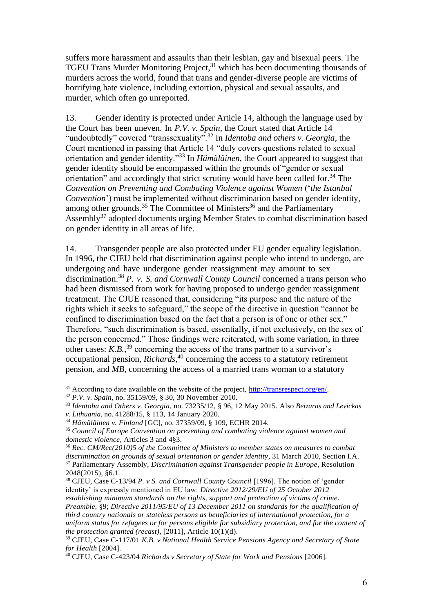suffers more harassment and assaults than their lesbian, gay and bisexual peers. The TGEU Trans Murder Monitoring Project,<sup>31</sup> which has been documenting thousands of murders across the world, found that trans and gender-diverse people are victims of horrifying hate violence, including extortion, physical and sexual assaults, and murder, which often go unreported.

13. Gender identity is protected under Article 14, although the language used by the Court has been uneven. In *P.V. v. Spain*, the Court stated that Article 14 "undoubtedly" covered "transsexuality"<sup>32</sup> In *Identoba and others v. Georgia*, the Court mentioned in passing that Article 14 "duly covers questions related to sexual orientation and gender identity."<sup>33</sup> In *Hämäläinen*, the Court appeared to suggest that gender identity should be encompassed within the grounds of "gender or sexual orientation" and accordingly that strict scrutiny would have been called for.<sup>34</sup> The *Convention on Preventing and Combating Violence against Women* ('*the Istanbul Convention*') must be implemented without discrimination based on gender identity, among other grounds.<sup>35</sup> The Committee of Ministers<sup>36</sup> and the Parliamentary Assembly<sup>37</sup> adopted documents urging Member States to combat discrimination based on gender identity in all areas of life.

14. Transgender people are also protected under EU gender equality legislation. In 1996, the CJEU held that discrimination against people who intend to undergo, are undergoing and have undergone gender reassignment may amount to sex discrimination.<sup>38</sup> *P. v. S. and Cornwall County Council* concerned a trans person who had been dismissed from work for having proposed to undergo gender reassignment treatment. The CJUE reasoned that, considering "its purpose and the nature of the rights which it seeks to safeguard," the scope of the directive in question "cannot be confined to discrimination based on the fact that a person is of one or other sex." Therefore, "such discrimination is based, essentially, if not exclusively, on the sex of the person concerned." Those findings were reiterated, with some variation, in three other cases:  $K.B.,<sup>39</sup>$  concerning the access of the trans partner to a survivor's occupational pension, *Richards*, <sup>40</sup> concerning the access to a statutory retirement pension, and *MB*, concerning the access of a married trans woman to a statutory

 $31$  According to date available on the website of the project,  $\frac{http://transrespect.org/en/}{http://transrespect.org/en/}$ .

<sup>32</sup> *P.V. v. Spain*, no. 35159/09, § 30, 30 November 2010.

<sup>33</sup> *Identoba and Others v. Georgia*, no. 73235/12, § 96, 12 May 2015. Also *Beizaras and Levickas* 

*v. Lithuania*, no. 41288/15, § 113, 14 January 2020.

<sup>34</sup> *Hämäläinen v. Finland* [GC], no. 37359/09, § 109, ECHR 2014.

<sup>35</sup> *Council of Europe Convention on preventing and combating violence against women and domestic violence*, Articles 3 and 4§3.

<sup>36</sup> *Rec. CM/Rec(2010)5 of the Committee of Ministers to member states on measures to combat discrimination on grounds of sexual orientation or gender identity*, 31 March 2010, Section I.A. <sup>37</sup> Parliamentary Assembly, *Discrimination against Transgender people in Europe*, Resolution 2048(2015), §6.1.

<sup>38</sup> CJEU, Case C-13/94 *P. v S. and Cornwall County Council* [1996]. The notion of 'gender identity' is expressly mentioned in EU law: *Directive 2012/29/EU of 25 October 2012* 

*establishing minimum standards on the rights, support and protection of victims of crime*. *Preamble*, §9; *Directive 2011/95/EU of 13 December 2011 on standards for the qualification of third country nationals or stateless persons as beneficiaries of international protection, for a uniform status for refugees or for persons eligible for subsidiary protection, and for the content of the protection granted (recast)*, [2011], Article 10(1)(d).

<sup>39</sup> CJEU, Case C-117/01 *K.B. v National Health Service Pensions Agency and Secretary of State for Health* [2004].

<sup>40</sup> CJEU, Case C-423/04 *Richards v Secretary of State for Work and Pensions* [2006].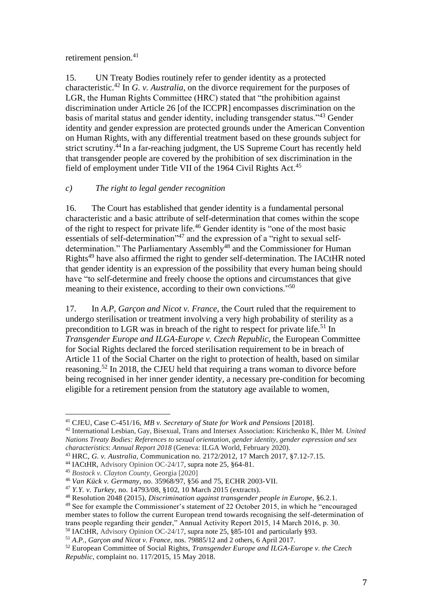retirement pension.<sup>41</sup>

15. UN Treaty Bodies routinely refer to gender identity as a protected characteristic. <sup>42</sup> In *G. v. Australia*, on the divorce requirement for the purposes of LGR, the Human Rights Committee (HRC) stated that "the prohibition against discrimination under Article 26 [of the ICCPR] encompasses discrimination on the basis of marital status and gender identity, including transgender status."<sup>43</sup> Gender identity and gender expression are protected grounds under the American Convention on Human Rights, with any differential treatment based on these grounds subject for strict scrutiny.<sup>44</sup> In a far-reaching judgment, the US Supreme Court has recently held that transgender people are covered by the prohibition of sex discrimination in the field of employment under Title VII of the 1964 Civil Rights Act.<sup>45</sup>

# *c) The right to legal gender recognition*

16. The Court has established that gender identity is a fundamental personal characteristic and a basic attribute of self-determination that comes within the scope of the right to respect for private life.<sup>46</sup> Gender identity is "one of the most basic essentials of self-determination"<sup>47</sup> and the expression of a "right to sexual selfdetermination." The Parliamentary Assembly<sup>48</sup> and the Commissioner for Human Rights<sup>49</sup> have also affirmed the right to gender self-determination. The IACtHR noted that gender identity is an expression of the possibility that every human being should have "to self-determine and freely choose the options and circumstances that give meaning to their existence, according to their own convictions.<sup>550</sup>

17. In *A.P, Garçon and Nicot v. France*, the Court ruled that the requirement to undergo sterilisation or treatment involving a very high probability of sterility as a precondition to LGR was in breach of the right to respect for private life.<sup>51</sup> In *Transgender Europe and ILGA-Europe v. Czech Republic*, the European Committee for Social Rights declared the forced sterilisation requirement to be in breach of Article 11 of the Social Charter on the right to protection of health, based on similar reasoning.<sup>52</sup> In 2018, the CJEU held that requiring a trans woman to divorce before being recognised in her inner gender identity, a necessary pre-condition for becoming eligible for a retirement pension from the statutory age available to women,

<sup>41</sup> CJEU, Case C-451/16, *MB v. Secretary of State for Work and Pensions* [2018].

<sup>42</sup> International Lesbian, Gay, Bisexual, Trans and Intersex Association: Kirichenko K, Ihler M. *United Nations Treaty Bodies: References to sexual orientation, gender identity, gender expression and sex characteristics*: *Annual Report 2018* (Geneva: ILGA World, February 2020).

<sup>43</sup> HRC, *G. v. Australia*, Communication no. 2172/2012, 17 March 2017, §7.12-7.15.

<sup>44</sup> IACtHR, Advisory Opinion OC-24/17, supra note 25*,* §64-81.

<sup>45</sup> *Bostock v. Clayton County*, Georgia [2020]

<sup>46</sup> *Van Kück v. Germany*, no. 35968/97, §56 and 75, ECHR 2003-VII.

<sup>47</sup> *Y.Y. v. Turkey*, no. 14793/08, §102, 10 March 2015 (extracts).

<sup>48</sup> Resolution 2048 (2015), *Discrimination against transgender people in Europe*, §6.2.1. <sup>49</sup> See for example the Commissioner's statement of 22 October 2015, in which he "encouraged member states to follow the current European trend towards recognising the self-determination of trans people regarding their gender," Annual Activity Report 2015, 14 March 2016, p. 30. <sup>50</sup> IACtHR, Advisory Opinion OC-24/17, supra note 25, §85-101 and particularly §93.

<sup>51</sup> *A.P., Garçon and Nicot v. France*, nos. 79885/12 and 2 others, 6 April 2017.

<sup>52</sup> European Committee of Social Rights, *Transgender Europe and ILGA-Europe v. the Czech Republic*, complaint no. 117/2015, 15 May 2018.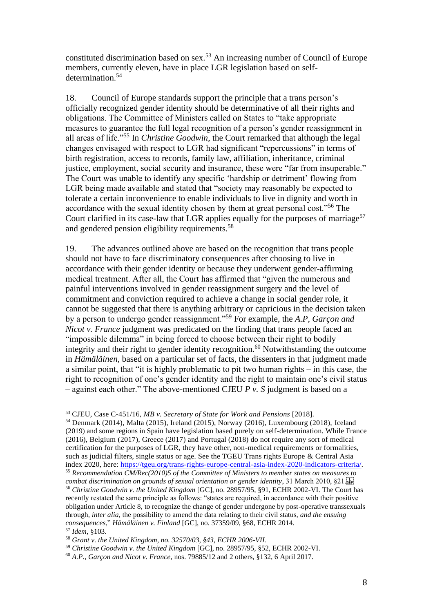constituted discrimination based on sex.<sup>53</sup> An increasing number of Council of Europe members, currently eleven, have in place LGR legislation based on selfdetermination.<sup>54</sup>

18. Council of Europe standards support the principle that a trans person's officially recognized gender identity should be determinative of all their rights and obligations. The Committee of Ministers called on States to "take appropriate measures to guarantee the full legal recognition of a person's gender reassignment in all areas of life."<sup>55</sup> In *Christine Goodwin*, the Court remarked that although the legal changes envisaged with respect to LGR had significant "repercussions" in terms of birth registration, access to records, family law, affiliation, inheritance, criminal justice, employment, social security and insurance, these were "far from insuperable." The Court was unable to identify any specific 'hardship or detriment' flowing from LGR being made available and stated that "society may reasonably be expected to tolerate a certain inconvenience to enable individuals to live in dignity and worth in accordance with the sexual identity chosen by them at great personal cost."<sup>56</sup> The Court clarified in its case-law that LGR applies equally for the purposes of marriage<sup>57</sup> and gendered pension eligibility requirements.<sup>58</sup>

19. The advances outlined above are based on the recognition that trans people should not have to face discriminatory consequences after choosing to live in accordance with their gender identity or because they underwent gender-affirming medical treatment. After all, the Court has affirmed that "given the numerous and painful interventions involved in gender reassignment surgery and the level of commitment and conviction required to achieve a change in social gender role, it cannot be suggested that there is anything arbitrary or capricious in the decision taken by a person to undergo gender reassignment."<sup>59</sup> For example, the *A.P, Garçon and Nicot v. France* judgment was predicated on the finding that trans people faced an "impossible dilemma" in being forced to choose between their right to bodily integrity and their right to gender identity recognition.<sup>60</sup> Notwithstanding the outcome in *Hämäläinen*, based on a particular set of facts, the dissenters in that judgment made a similar point, that "it is highly problematic to pit two human rights – in this case, the right to recognition of one's gender identity and the right to maintain one's civil status – against each other." The above-mentioned CJEU *P v. S* judgment is based on a

<sup>53</sup> CJEU, Case C-451/16, *MB v. Secretary of State for Work and Pensions* [2018].

<sup>54</sup> Denmark (2014), Malta (2015), Ireland (2015), Norway (2016), Luxembourg (2018), Iceland (2019) and some regions in Spain have legislation based purely on self-determination. While France (2016), Belgium (2017), Greece (2017) and Portugal (2018) do not require any sort of medical certification for the purposes of LGR, they have other, non-medical requirements or formalities, such as judicial filters, single status or age. See the TGEU Trans rights Europe & Central Asia index 2020, here: [https://tgeu.org/trans-rights-europe-central-asia-index-2020-indicators-criteria/.](https://tgeu.org/trans-rights-europe-central-asia-index-2020-indicators-criteria/) <sup>55</sup> *Recommendation CM/Rec(2010)5 of the Committee of Ministers to member states on measures to* 

*combat discrimination on grounds of sexual orientation or gender identity*, 31 March 2010, §21. <sup>56</sup> *Christine Goodwin v. the United Kingdom* [GC], no. 28957/95, §91, ECHR 2002-VI. The Court has

recently restated the same principle as follows: "states are required, in accordance with their positive obligation under Article 8, to recognize the change of gender undergone by post-operative transsexuals through, *inter alia*, the possibility to amend the data relating to their civil status, *and the ensuing consequences*," *Hämäläinen v. Finland* [GC], no. 37359/09, §68, ECHR 2014. <sup>57</sup> *Idem*, §103.

<sup>58</sup> *Grant v. the United Kingdom, no. 32570/03, §43, ECHR 2006-VII.*

<sup>59</sup> *Christine Goodwin v. the United Kingdom* [GC], no. 28957/95, §52, ECHR 2002-VI.

<sup>60</sup> *A.P., Garçon and Nicot v. France*, nos. 79885/12 and 2 others, §132, 6 April 2017.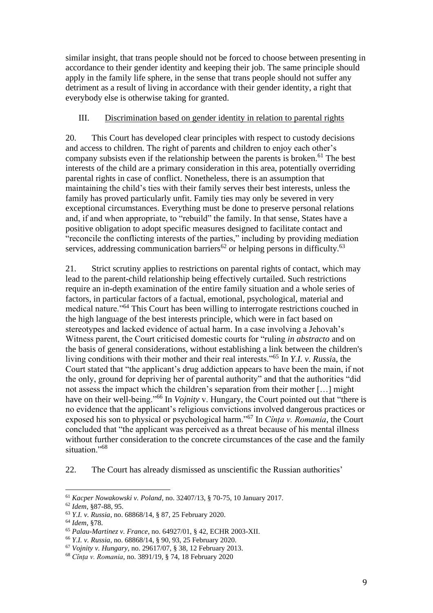similar insight, that trans people should not be forced to choose between presenting in accordance to their gender identity and keeping their job. The same principle should apply in the family life sphere, in the sense that trans people should not suffer any detriment as a result of living in accordance with their gender identity, a right that everybody else is otherwise taking for granted.

### III. Discrimination based on gender identity in relation to parental rights

20. This Court has developed clear principles with respect to custody decisions and access to children. The right of parents and children to enjoy each other's company subsists even if the relationship between the parents is broken.<sup>61</sup> The best interests of the child are a primary consideration in this area, potentially overriding parental rights in case of conflict. Nonetheless, there is an assumption that maintaining the child's ties with their family serves their best interests, unless the family has proved particularly unfit. Family ties may only be severed in very exceptional circumstances. Everything must be done to preserve personal relations and, if and when appropriate, to "rebuild" the family. In that sense, States have a positive obligation to adopt specific measures designed to facilitate contact and "reconcile the conflicting interests of the parties," including by providing mediation services, addressing communication barriers<sup>62</sup> or helping persons in difficulty.<sup>63</sup>

21. Strict scrutiny applies to restrictions on parental rights of contact, which may lead to the parent-child relationship being effectively curtailed. Such restrictions require an in-depth examination of the entire family situation and a whole series of factors, in particular factors of a factual, emotional, psychological, material and medical nature."<sup>64</sup> This Court has been willing to interrogate restrictions couched in the high language of the best interests principle, which were in fact based on stereotypes and lacked evidence of actual harm. In a case involving a Jehovah's Witness parent, the Court criticised domestic courts for "ruling *in abstracto* and on the basis of general considerations, without establishing a link between the children's living conditions with their mother and their real interests."<sup>65</sup> In *Y.I. v. Russi*a, the Court stated that "the applicant's drug addiction appears to have been the main, if not the only, ground for depriving her of parental authority" and that the authorities "did not assess the impact which the children's separation from their mother […] might have on their well-being."<sup>66</sup> In *Vojnity* v. Hungary, the Court pointed out that "there is no evidence that the applicant's religious convictions involved dangerous practices or exposed his son to physical or psychological harm."<sup>67</sup> In *Cînța v. Romania*, the Court concluded that "the applicant was perceived as a threat because of his mental illness without further consideration to the concrete circumstances of the case and the family situation."<sup>68</sup>

22. The Court has already dismissed as unscientific the Russian authorities'

<sup>61</sup> *Kacper Nowakowski v. Poland*, no. 32407/13, § 70-75, 10 January 2017.

<sup>62</sup> *Idem*, §87-88, 95.

<sup>63</sup> *Y.I. v. Russia*, no. 68868/14, § 87, 25 February 2020.

<sup>64</sup> *Idem*, §78.

<sup>65</sup> *Palau-Martinez v. France*, no. 64927/01, § 42, ECHR 2003-XII.

<sup>66</sup> *Y.I. v. Russia*, no. 68868/14, § 90, 93, 25 February 2020.

<sup>67</sup> *Vojnity v. Hungary*, no. 29617/07, § 38, 12 February 2013.

<sup>68</sup> *Cînța v. Romania*, no. 3891/19, § 74, 18 February 2020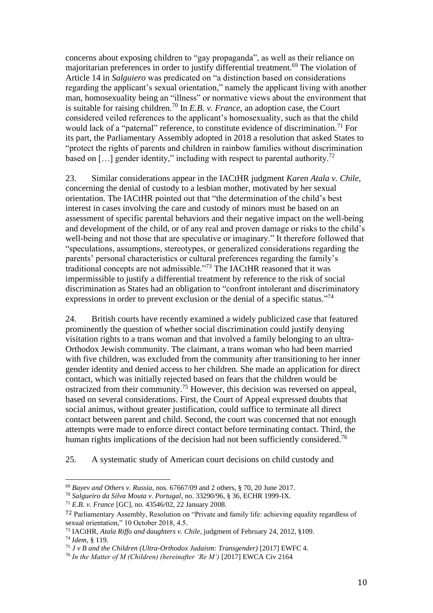concerns about exposing children to "gay propaganda", as well as their reliance on majoritarian preferences in order to justify differential treatment. <sup>69</sup> The violation of Article 14 in *Salguiero* was predicated on "a distinction based on considerations regarding the applicant's sexual orientation," namely the applicant living with another man, homosexuality being an "illness" or normative views about the environment that is suitable for raising children.<sup>70</sup> In *E.B. v. France*, an adoption case, the Court considered veiled references to the applicant's homosexuality, such as that the child would lack of a "paternal" reference, to constitute evidence of discrimination.<sup>71</sup> For its part, the Parliamentary Assembly adopted in 2018 a resolution that asked States to "protect the rights of parents and children in rainbow families without discrimination based on  $\left[\ldots\right]$  gender identity," including with respect to parental authority.<sup>72</sup>

23. Similar considerations appear in the IACtHR judgment *Karen Atala v. Chile*, concerning the denial of custody to a lesbian mother, motivated by her sexual orientation. The IACtHR pointed out that "the determination of the child's best interest in cases involving the care and custody of minors must be based on an assessment of specific parental behaviors and their negative impact on the well-being and development of the child, or of any real and proven damage or risks to the child's well-being and not those that are speculative or imaginary." It therefore followed that "speculations, assumptions, stereotypes, or generalized considerations regarding the parents' personal characteristics or cultural preferences regarding the family's traditional concepts are not admissible."<sup>73</sup> The IACtHR reasoned that it was impermissible to justify a differential treatment by reference to the risk of social discrimination as States had an obligation to "confront intolerant and discriminatory expressions in order to prevent exclusion or the denial of a specific status."<sup>74</sup>

24. British courts have recently examined a widely publicized case that featured prominently the question of whether social discrimination could justify denying visitation rights to a trans woman and that involved a family belonging to an ultra-Orthodox Jewish community. The claimant, a trans woman who had been married with five children, was excluded from the community after transitioning to her inner gender identity and denied access to her children. She made an application for direct contact, which was initially rejected based on fears that the children would be ostracized from their community.<sup>75</sup> However, this decision was reversed on appeal, based on several considerations. First, the Court of Appeal expressed doubts that social animus, without greater justification, could suffice to terminate all direct contact between parent and child. Second, the court was concerned that not enough attempts were made to enforce direct contact before terminating contact. Third, the human rights implications of the decision had not been sufficiently considered.<sup>76</sup>

25. A systematic study of American court decisions on child custody and

<sup>69</sup> *Bayev and Others v. Russia*, nos. 67667/09 and 2 others, § 70, 20 June 2017.

<sup>70</sup> *Salgueiro da Silva Mouta v. Portugal*, no. 33290/96, § 36, ECHR 1999-IX.

<sup>71</sup> *E.B. v. France* [GC], no. 43546/02, 22 January 2008.

<sup>72</sup> Parliamentary Assembly, Resolution on "Private and family life: achieving equality regardless of sexual orientation," 10 October 2018, 4.5.

<sup>73</sup> IACtHR, *Atala Riffo and daughters v. Chile*, judgment of February 24, 2012, §109.

<sup>74</sup> *Idem*, § 119.

<sup>75</sup> *J v B and the Children (Ultra-Orthodox Judaism: Transgender)* [2017] EWFC 4.

<sup>76</sup> *In the Matter of M (Children) (hereinafter 'Re M')* [2017] EWCA Civ 2164